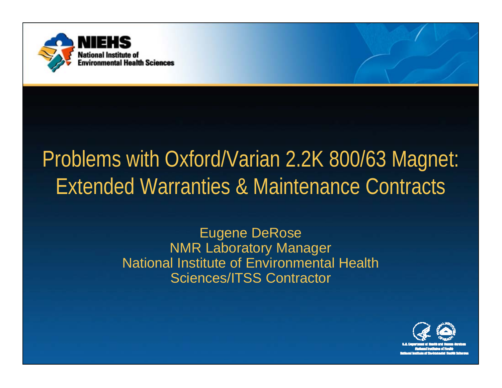

# Problems with Oxford/Varian 2.2K 800/63 Magnet: Extended Warranties & Maintenance Contracts

Eugene DeRose NMR Laboratory Manager National Institute of Environmental Health Sciences/ITSS Contractor

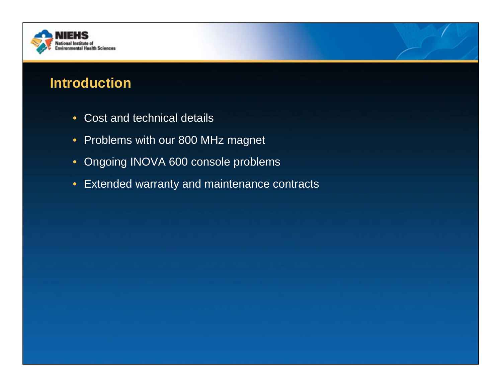

## **Introduction**

- Cost and technical details
- Problems with our 800 MHz magnet
- Ongoing INOVA 600 console problems
- Extended warranty and maintenance contracts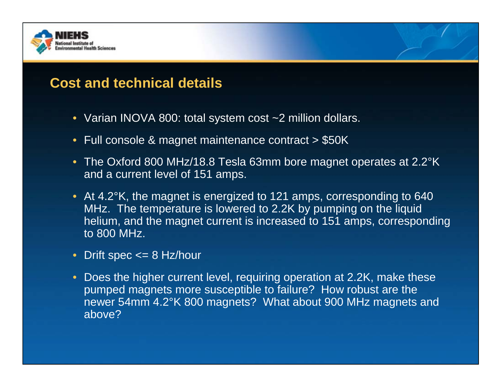

## **Cost and technical details**

- Varian INOVA 800: total system cost ~2 million dollars.
- Full console & magnet maintenance contract > \$50K
- The Oxford 800 MHz/18.8 Tesla 63mm bore magnet operates at 2.2°K and a current level of 151 amps.
- At 4.2°K, the magnet is energized to 121 amps, corresponding to 640 MHz. The temperature is lowered to 2.2K by pumping on the liquid helium, and the magnet current is increased to 151 amps, corresponding to 800 MHz.
- Drift spec <= 8 Hz/hour
- Does the higher current level, requiring operation at 2.2K, make these pumped magnets more susceptible to failure? How robust are the newer 54mm 4.2°K 800 magnets? What about 900 MHz magnets and above?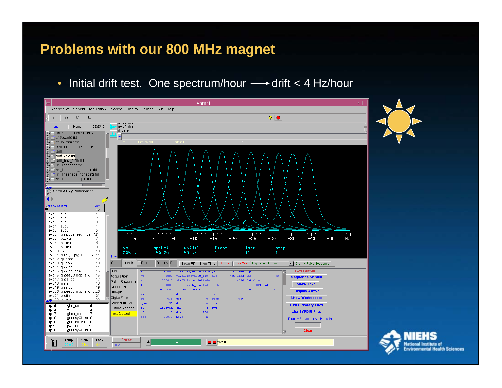#### **Problems with our 800 MHz magnet**

•Initial drift test. One spectrum/hour  $\longrightarrow$  drift < 4 Hz/hour



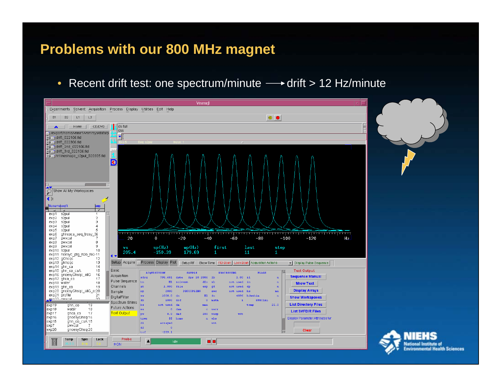#### **Problems with our 800 MHz magnet**

•Recent drift test: one spectrum/minute  $\longrightarrow$  drift > 12 Hz/minute



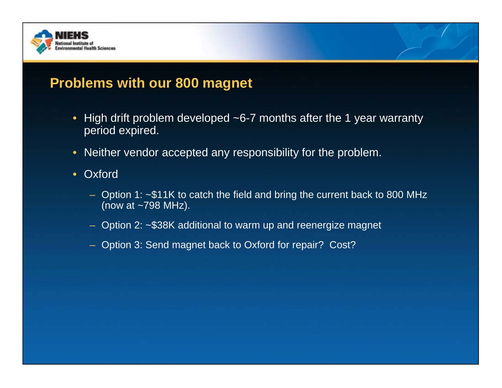

## **Problems with our 800 magnet**

- High drift problem developed ~6-7 months after the 1 year warranty period expired.
- Neither vendor accepted any responsibility for the problem.
- Oxford
	- Option 1: ~\$11K to catch the field and bring the current back to 800 MHz (now at ~798 MHz).
	- Option 2: ~\$38K additional to warm up and reenergize magnet
	- Option 3: Send magnet back to Oxford for repair? Cost?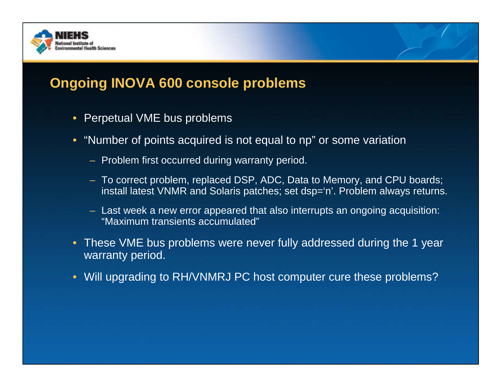

## **Ongoing INOVA 600 console problems**

- Perpetual VME bus problems
- "Number of points acquired is not equal to np" or some variation
	- Problem first occurred during warranty period.
	- To correct problem, replaced DSP, ADC, Data to Memory, and CPU boards; install latest VNMR and Solaris patches; set dsp='n'. Problem always returns.
	- Last week a new error appeared that also interrupts an ongoing acquisition: "Maximum transients accumulated"
- These VME bus problems were never fully addressed during the 1 year warranty period.
- Will upgrading to RH/VNMRJ PC host computer cure these problems?